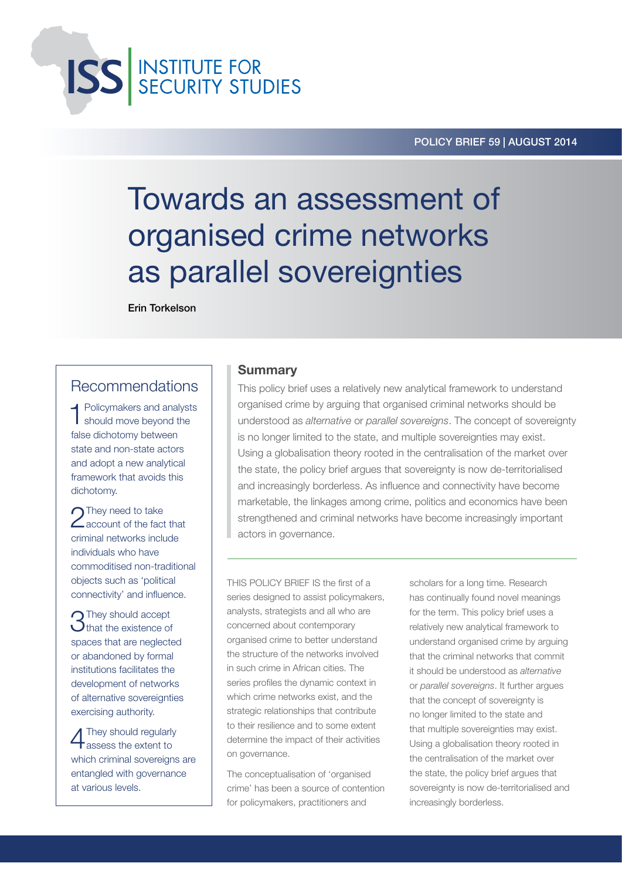**ISS** INSTITUTE FOR

#### POLICY BRIEF 59 | August 2014

# Towards an assessment of organised crime networks as parallel sovereignties

Erin Torkelson

### Recommendations

**4** Policymakers and analysts should move beyond the false dichotomy between state and non-state actors and adopt a new analytical framework that avoids this dichotomy.

**n**They need to take **Z** account of the fact that criminal networks include individuals who have commoditised non-traditional objects such as 'political connectivity' and influence.

**3**They should accept<br> **3**that the existence of spaces that are neglected or abandoned by formal institutions facilitates the development of networks of alternative sovereignties exercising authority.

4They should regularly assess the extent to which criminal sovereigns are entangled with governance at various levels.

#### **Summary**

This policy brief uses a relatively new analytical framework to understand organised crime by arguing that organised criminal networks should be understood as *alternative* or *parallel sovereigns*. The concept of sovereignty is no longer limited to the state, and multiple sovereignties may exist. Using a globalisation theory rooted in the centralisation of the market over the state, the policy brief argues that sovereignty is now de-territorialised and increasingly borderless. As influence and connectivity have become marketable, the linkages among crime, politics and economics have been strengthened and criminal networks have become increasingly important actors in governance.

THIS POLICY BRIEF IS the first of a series designed to assist policymakers, analysts, strategists and all who are concerned about contemporary organised crime to better understand the structure of the networks involved in such crime in African cities. The series profiles the dynamic context in which crime networks exist, and the strategic relationships that contribute to their resilience and to some extent determine the impact of their activities on governance.

The conceptualisation of 'organised crime' has been a source of contention for policymakers, practitioners and

scholars for a long time. Research has continually found novel meanings for the term. This policy brief uses a relatively new analytical framework to understand organised crime by arguing that the criminal networks that commit it should be understood as *alternative*  or *parallel sovereigns*. It further argues that the concept of sovereignty is no longer limited to the state and that multiple sovereignties may exist. Using a globalisation theory rooted in the centralisation of the market over the state, the policy brief argues that sovereignty is now de-territorialised and increasingly borderless.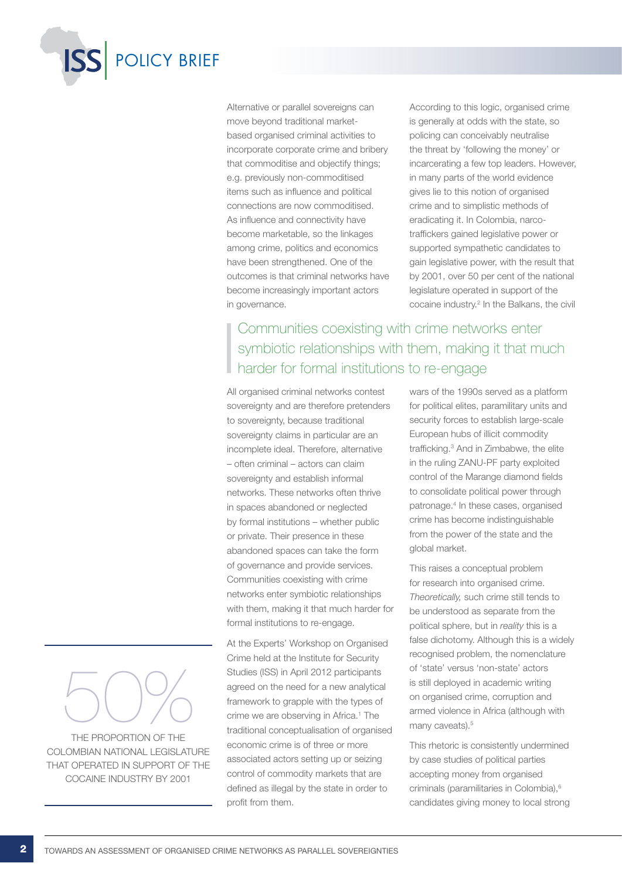

Alternative or parallel sovereigns can move beyond traditional marketbased organised criminal activities to incorporate corporate crime and bribery that commoditise and objectify things; e.g. previously non-commoditised items such as influence and political connections are now commoditised. As influence and connectivity have become marketable, so the linkages among crime, politics and economics have been strengthened. One of the outcomes is that criminal networks have become increasingly important actors in governance.

According to this logic, organised crime is generally at odds with the state, so policing can conceivably neutralise the threat by 'following the money' or incarcerating a few top leaders. However, in many parts of the world evidence gives lie to this notion of organised crime and to simplistic methods of eradicating it. In Colombia, narcotraffickers gained legislative power or supported sympathetic candidates to gain legislative power, with the result that by 2001, over 50 per cent of the national legislature operated in support of the cocaine industry.<sup>2</sup> In the Balkans, the civil

## Communities coexisting with crime networks enter symbiotic relationships with them, making it that much harder for formal institutions to re-engage

All organised criminal networks contest sovereignty and are therefore pretenders to sovereignty, because traditional sovereignty claims in particular are an incomplete ideal. Therefore, alternative – often criminal – actors can claim sovereignty and establish informal networks. These networks often thrive in spaces abandoned or neglected by formal institutions – whether public or private. Their presence in these abandoned spaces can take the form of governance and provide services. Communities coexisting with crime networks enter symbiotic relationships with them, making it that much harder for formal institutions to re-engage.

At the Experts' Workshop on Organised Crime held at the Institute for Security Studies (ISS) in April 2012 participants agreed on the need for a new analytical framework to grapple with the types of crime we are observing in Africa.<sup>1</sup> The traditional conceptualisation of organised economic crime is of three or more associated actors setting up or seizing control of commodity markets that are defined as illegal by the state in order to profit from them.

wars of the 1990s served as a platform for political elites, paramilitary units and security forces to establish large-scale European hubs of illicit commodity trafficking.3 And in Zimbabwe, the elite in the ruling ZANU-PF party exploited control of the Marange diamond fields to consolidate political power through patronage.4 In these cases, organised crime has become indistinguishable from the power of the state and the global market.

This raises a conceptual problem for research into organised crime. *Theoretically,* such crime still tends to be understood as separate from the political sphere, but in *reality* this is a false dichotomy. Although this is a widely recognised problem, the nomenclature of 'state' versus 'non-state' actors is still deployed in academic writing on organised crime, corruption and armed violence in Africa (although with many caveats).<sup>5</sup>

This rhetoric is consistently undermined by case studies of political parties accepting money from organised criminals (paramilitaries in Colombia),6 candidates giving money to local strong

# 50% THE PROPORTION OF THE

COLOMBIAN NATIONAL LEGISLATURE THAT OPERATED IN SUPPORT OF THE COCAINE INDUSTRY BY 2001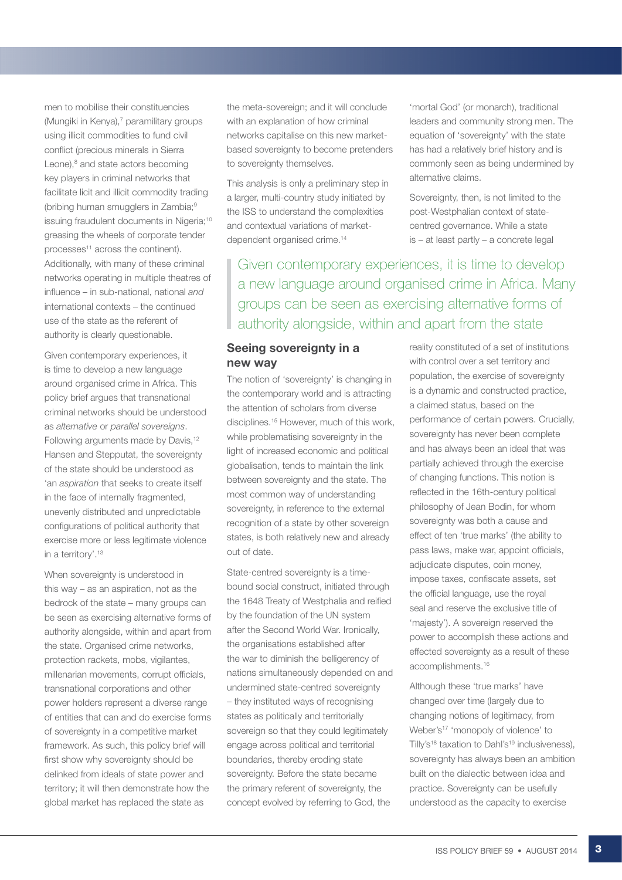men to mobilise their constituencies (Mungiki in Kenya),<sup>7</sup> paramilitary groups using illicit commodities to fund civil conflict (precious minerals in Sierra Leone),<sup>8</sup> and state actors becoming key players in criminal networks that facilitate licit and illicit commodity trading (bribing human smugglers in Zambia;<sup>9</sup> issuing fraudulent documents in Nigeria;<sup>10</sup> greasing the wheels of corporate tender processes<sup>11</sup> across the continent). Additionally, with many of these criminal networks operating in multiple theatres of influence – in sub-national, national *and* international contexts – the continued use of the state as the referent of authority is clearly questionable.

Given contemporary experiences, it is time to develop a new language around organised crime in Africa. This policy brief argues that transnational criminal networks should be understood as *alternative* or *parallel sovereigns*. Following arguments made by Davis,<sup>12</sup> Hansen and Stepputat, the sovereignty of the state should be understood as 'an *aspiration* that seeks to create itself in the face of internally fragmented, unevenly distributed and unpredictable configurations of political authority that exercise more or less legitimate violence in a territory'.13

When sovereignty is understood in this way – as an aspiration, not as the bedrock of the state – many groups can be seen as exercising alternative forms of authority alongside, within and apart from the state. Organised crime networks, protection rackets, mobs, vigilantes, millenarian movements, corrupt officials, transnational corporations and other power holders represent a diverse range of entities that can and do exercise forms of sovereignty in a competitive market framework. As such, this policy brief will first show why sovereignty should be delinked from ideals of state power and territory; it will then demonstrate how the global market has replaced the state as

the meta-sovereign; and it will conclude with an explanation of how criminal networks capitalise on this new marketbased sovereignty to become pretenders to sovereignty themselves.

This analysis is only a preliminary step in a larger, multi-country study initiated by the ISS to understand the complexities and contextual variations of marketdependent organised crime.<sup>14</sup>

centred governance. While a state is – at least partly – a concrete legal Given contemporary experiences, it is time to develop a new language around organised crime in Africa. Many groups can be seen as exercising alternative forms of

authority alongside, within and apart from the state

alternative claims.

#### Seeing sovereignty in a new way

The notion of 'sovereignty' is changing in the contemporary world and is attracting the attention of scholars from diverse disciplines.15 However, much of this work, while problematising sovereignty in the light of increased economic and political globalisation, tends to maintain the link between sovereignty and the state. The most common way of understanding sovereignty, in reference to the external recognition of a state by other sovereign states, is both relatively new and already out of date.

State-centred sovereignty is a timebound social construct, initiated through the 1648 Treaty of Westphalia and reified by the foundation of the UN system after the Second World War. Ironically, the organisations established after the war to diminish the belligerency of nations simultaneously depended on and undermined state-centred sovereignty – they instituted ways of recognising states as politically and territorially sovereign so that they could legitimately engage across political and territorial boundaries, thereby eroding state sovereignty. Before the state became the primary referent of sovereignty, the concept evolved by referring to God, the

reality constituted of a set of institutions with control over a set territory and population, the exercise of sovereignty is a dynamic and constructed practice, a claimed status, based on the performance of certain powers. Crucially, sovereignty has never been complete and has always been an ideal that was partially achieved through the exercise of changing functions. This notion is reflected in the 16th-century political philosophy of Jean Bodin, for whom sovereignty was both a cause and effect of ten 'true marks' (the ability to pass laws, make war, appoint officials, adjudicate disputes, coin money, impose taxes, confiscate assets, set the official language, use the royal seal and reserve the exclusive title of 'majesty'). A sovereign reserved the power to accomplish these actions and effected sovereignty as a result of these accomplishments.16

'mortal God' (or monarch), traditional leaders and community strong men. The equation of 'sovereignty' with the state has had a relatively brief history and is commonly seen as being undermined by

Sovereignty, then, is not limited to the post-Westphalian context of state-

Although these 'true marks' have changed over time (largely due to changing notions of legitimacy, from Weber's<sup>17</sup> 'monopoly of violence' to Tilly's<sup>18</sup> taxation to Dahl's<sup>19</sup> inclusiveness), sovereignty has always been an ambition built on the dialectic between idea and practice. Sovereignty can be usefully understood as the capacity to exercise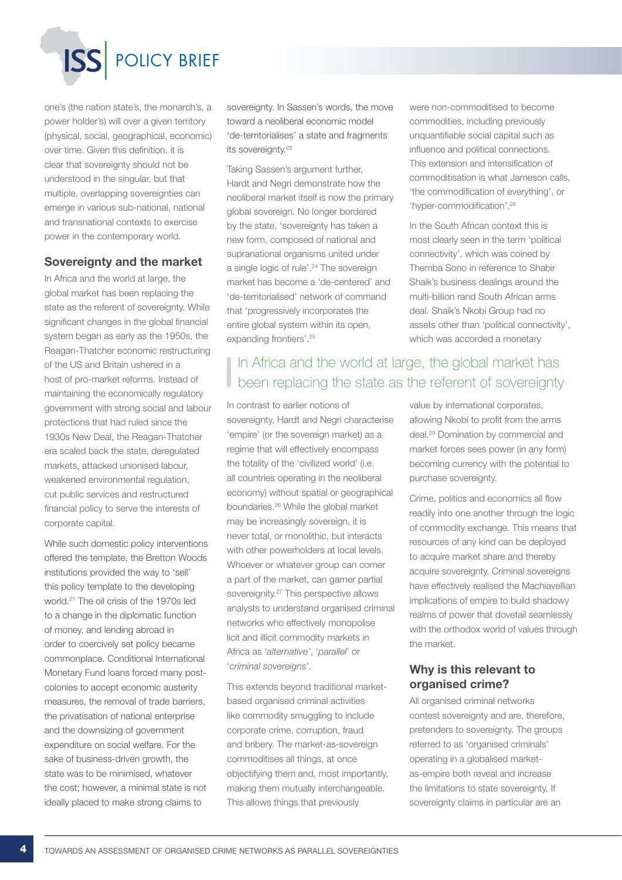POLICY BRIEF

one's (the nation state's, the monarch's, a power holder's) will over a given territory (physical, social, geographical, economic) over time. Given this definition, it is clear that sovereignty should not be understood in the singular, but that multiple, overlapping sovereignties can emerge in various sub-national, national and transnational contexts to exercise power in the contemporary world.

#### Sovereignty and the market

In Africa and the world at large, the global market has been replacing the state as the referent of sovereignty. While significant changes in the global financial system began as early as the 1950s, the Reagan-Thatcher economic restructuring of the US and Britain ushered in a host of pro-market reforms. Instead of maintaining the economically regulatory government with strong social and labour protections that had ruled since the 1930s New Deal, the Reagan-Thatcher era scaled back the state, deregulated markets, attacked unionised labour, weakened environmental regulation, cut public services and restructured financial policy to serve the interests of corporate capital.

While such domestic policy interventions offered the template, the Bretton Woods institutions provided the way to 'sell' this policy template to the developing world.21 The oil crisis of the 1970s led to a change in the diplomatic function of money, and lending abroad in order to coercively set policy became commonplace. Conditional International Monetary Fund loans forced many postcolonies to accept economic austerity measures, the removal of trade barriers, the privatisation of national enterprise and the downsizing of government expenditure on social welfare. For the sake of business-driven growth, the state was to be minimised, whatever the cost; however, a minimal state is not ideally placed to make strong claims to

sovereignty. In Sassen's words, the move toward a neoliberal economic model 'de-territorialises' a state and fragments its sovereignty.<sup>22</sup>

Taking Sassen's argument further, Hardt and Negri demonstrate how the neoliberal market itself is now the primary global sovereign. No longer bordered by the state, 'sovereignty has taken a new form, composed of national and supranational organisms united under a single logic of rule'.<sup>24</sup> The sovereign market has become a 'de-centered' and 'de-territorialised' network of command that 'progressively incorporates the entire global system within its open, expanding frontiers'.<sup>25</sup>

## I In Africa and the world at large, the global market has been replacing the state as the referent of sovereignty

In contrast to earlier notions of sovereignty, Hardt and Negri characterise 'empire' (or the sovereign market) as a regime that will effectively encompass the totality of the 'civilized world' (i.e. all countries operating in the neoliberal economy) without spatial or geographical boundaries.26 While the global market may be increasingly sovereign, it is never total, or monolithic, but interacts with other powerholders at local levels. Whoever or whatever group can corner a part of the market, can garner partial sovereignity.<sup>27</sup> This perspective allows analysts to understand organised criminal networks who effectively monopolise licit and illicit commodity markets in Africa as '*alternative'*, '*parallel*' or '*criminal sovereigns*'.

This extends beyond traditional marketbased organised criminal activities like commodity smuggling to include corporate crime, corruption, fraud and bribery. The market-as-sovereign commoditises all things, at once objectifying them and, most importantly, making them mutually interchangeable. This allows things that previously

were non-commoditised to become commodities, including previously unquantifiable social capital such as influence and political connections. This extension and intensification of commoditisation is what Jameson calls, 'the commodification of everything', or 'hyper-commodification'.28

In the South African context this is most clearly seen in the term 'political connectivity', which was coined by Themba Sono in reference to Shabir Shaik's business dealings around the multi-billion rand South African arms deal. Shaik's Nkobi Group had no assets other than 'political connectivity', which was accorded a monetary

value by international corporates, allowing Nkobi to profit from the arms deal.29 Domination by commercial and market forces sees power (in any form) becoming currency with the potential to purchase sovereignty.

Crime, politics and economics all flow readily into one another through the logic of commodity exchange. This means that resources of any kind can be deployed to acquire market share and thereby acquire sovereignty. Criminal sovereigns have effectively realised the Machiavellian implications of empire to build shadowy realms of power that dovetail seamlessly with the orthodox world of values through the market.

#### Why is this relevant to organised crime?

All organised criminal networks contest sovereignty and are, therefore, pretenders to sovereignty. The groups referred to as 'organised criminals' operating in a globalised marketas-empire both reveal and increase the limitations to state sovereignty. If sovereignty claims in particular are an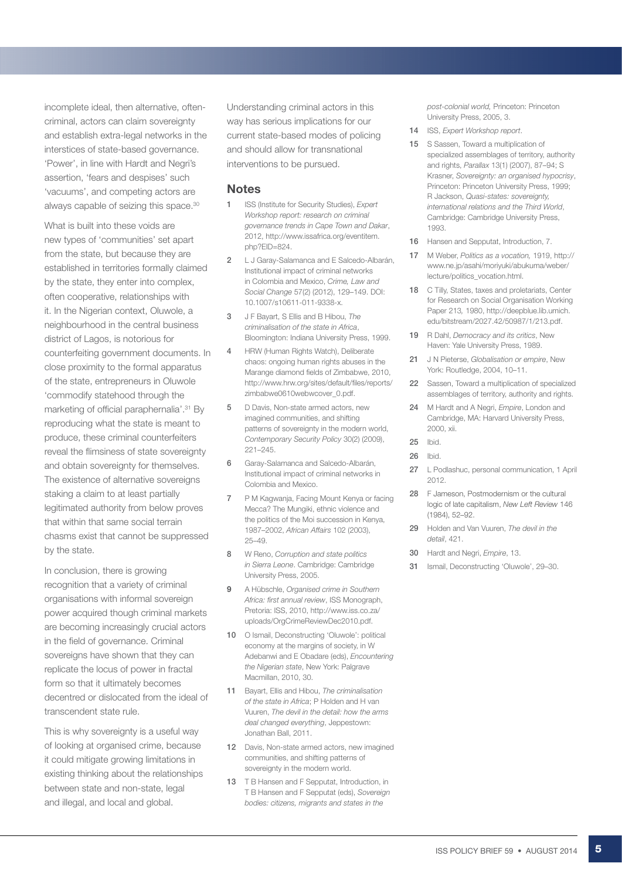incomplete ideal, then alternative, oftencriminal, actors can claim sovereignty and establish extra-legal networks in the interstices of state-based governance. 'Power', in line with Hardt and Negri's assertion, 'fears and despises' such 'vacuums', and competing actors are always capable of seizing this space.30

What is built into these voids are new types of 'communities' set apart from the state, but because they are established in territories formally claimed by the state, they enter into complex, often cooperative, relationships with it. In the Nigerian context, Oluwole, a neighbourhood in the central business district of Lagos, is notorious for counterfeiting government documents. In close proximity to the formal apparatus of the state, entrepreneurs in Oluwole 'commodify statehood through the marketing of official paraphernalia'.<sup>31</sup> By reproducing what the state is meant to produce, these criminal counterfeiters reveal the flimsiness of state sovereignty and obtain sovereignty for themselves. The existence of alternative sovereigns staking a claim to at least partially legitimated authority from below proves that within that same social terrain chasms exist that cannot be suppressed by the state.

In conclusion, there is growing recognition that a variety of criminal organisations with informal sovereign power acquired though criminal markets are becoming increasingly crucial actors in the field of governance. Criminal sovereigns have shown that they can replicate the locus of power in fractal form so that it ultimately becomes decentred or dislocated from the ideal of transcendent state rule.

This is why sovereignty is a useful way of looking at organised crime, because it could mitigate growing limitations in existing thinking about the relationships between state and non-state, legal and illegal, and local and global.

Understanding criminal actors in this way has serious implications for our current state-based modes of policing and should allow for transnational interventions to be pursued.

#### Notes

- 1 ISS (Institute for Security Studies), *Expert Workshop report: research on criminal governance trends in Cape Town and Dakar*, 2012, http://www.issafrica.org/eventitem. php?EID=824.
- 2 L J Garay-Salamanca and E Salcedo-Albarán, Institutional impact of criminal networks in Colombia and Mexico, *Crime, Law and Social Change* 57(2) (2012), 129–149. DOI: 10.1007/s10611-011-9338-x.
- 3 J F Bayart, S Ellis and B Hibou, *The criminalisation of the state in Africa*, Bloomington: Indiana University Press, 1999.
- 4 HRW (Human Rights Watch), Deliberate chaos: ongoing human rights abuses in the Marange diamond fields of Zimbabwe, 2010, http://www.hrw.org/sites/default/files/reports/ zimbabwe0610webwcover\_0.pdf.
- 5 D Davis, Non-state armed actors, new imagined communities, and shifting patterns of sovereignty in the modern world, *Contemporary Security Policy* 30(2) (2009), 221–245.
- 6 Garay-Salamanca and Salcedo-Albarán, Institutional impact of criminal networks in Colombia and Mexico.
- 7 P M Kagwanja, Facing Mount Kenya or facing Mecca? The Mungiki, ethnic violence and the politics of the Moi succession in Kenya, 1987–2002, *African Affairs* 102 (2003), 25–49.
- 8 W Reno, *Corruption and state politics in Sierra Leone*. Cambridge: Cambridge University Press, 2005.
- 9 A Hübschle, *Organised crime in Southern Africa: first annual review*, ISS Monograph, Pretoria: ISS, 2010, http://www.iss.co.za/ uploads/OrgCrimeReviewDec2010.pdf.
- 10 O Ismail, Deconstructing 'Oluwole': political economy at the margins of society, in W Adebanwi and E Obadare (eds), *Encountering the Nigerian state*, New York: Palgrave Macmillan, 2010, 30.
- 11 Bayart, Ellis and Hibou, *The criminalisation of the state in Africa*; P Holden and H van Vuuren, *The devil in the detail: how the arms deal changed everything*, Jeppestown: Jonathan Ball, 2011.
- 12 Davis, Non-state armed actors, new imagined communities, and shifting patterns of sovereignty in the modern world.
- 13 T B Hansen and F Sepputat, Introduction, in T B Hansen and F Sepputat (eds), *Sovereign bodies: citizens, migrants and states in the*

*post-colonial world,* Princeton: Princeton University Press, 2005, 3.

- 14 ISS, *Expert Workshop report*.
- 15 S Sassen, Toward a multiplication of specialized assemblages of territory, authority and rights, *Parallax* 13(1) (2007), 87–94; S Krasner, *Sovereignty: an organised hypocrisy*, Princeton: Princeton University Press, 1999; R Jackson, *Quasi-states: sovereignty, international relations and the Third World*, Cambridge: Cambridge University Press, 1993.
- 16 Hansen and Sepputat, Introduction, 7.
- 17 M Weber, *Politics as a vocation,* 1919, http:// www.ne.jp/asahi/moriyuki/abukuma/weber/ lecture/politics\_vocation.html.
- 18 C Tilly, States, taxes and proletariats, Center for Research on Social Organisation Working Paper 213*,* 1980, http://deepblue.lib.umich. edu/bitstream/2027.42/50987/1/213.pdf.
- 19 R Dahl, *Democracy and its critics*, New Haven: Yale University Press, 1989.
- 21 J N Pieterse, *Globalisation or empire*, New York: Routledge, 2004, 10–11.
- 22 Sassen, Toward a multiplication of specialized assemblages of territory, authority and rights.
- 24 M Hardt and A Negri, *Empire*, London and Cambridge, MA: Harvard University Press, 2000, xii.
- 25 Ibid.
- 26 Ibid.
- 27 L Podlashuc, personal communication, 1 April 2012.
- 28 F Jameson, Postmodernism or the cultural logic of late capitalism, *New Left Review* 146 (1984), 52–92.
- 29 Holden and Van Vuuren, *The devil in the detail*, 421.
- 30 Hardt and Negri, *Empire*, 13.
- 31 Ismail, Deconstructing 'Oluwole', 29–30.